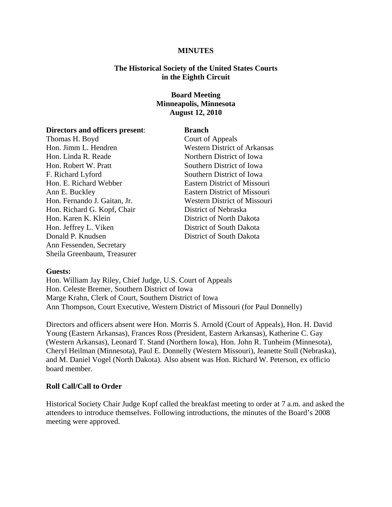#### **MINUTES**

### **The Historical Society of the United States Courts in the Eighth Circuit**

# **Board Meeting Minneapolis, Minnesota August 12, 2010**

#### **Directors and officers present**: **Branch**

Thomas H. Boyd Court of Appeals Hon. Jimm L. Hendren Western District of Arkansas Hon. Linda R. Reade Northern District of Iowa Hon. Robert W. Pratt Southern District of Iowa F. Richard Lyford Southern District of Iowa Hon. E. Richard Webber Eastern District of Missouri Ann E. Buckley Eastern District of Missouri Hon. Fernando J. Gaitan, Jr. Western District of Missouri Hon. Richard G. Kopf, Chair District of Nebraska Hon. Karen K. Klein District of North Dakota Hon. Jeffrey L. Viken District of South Dakota Donald P. Knudsen District of South Dakota Ann Fessenden, Secretary Sheila Greenbaum, Treasurer

#### **Guests:**

Hon. William Jay Riley, Chief Judge, U.S. Court of Appeals Hon. Celeste Bremer, Southern District of Iowa Marge Krahn, Clerk of Court, Southern District of Iowa Ann Thompson, Court Executive, Western District of Missouri (for Paul Donnelly)

Directors and officers absent were Hon. Morris S. Arnold (Court of Appeals), Hon. H. David Young (Eastern Arkansas), Frances Ross (President, Eastern Arkansas), Katherine C. Gay (Western Arkansas), Leonard T. Stand (Northern Iowa), Hon. John R. Tunheim (Minnesota), Cheryl Heilman (Minnesota), Paul E. Donnelly (Western Missouri), Jeanette Stull (Nebraska), and M. Daniel Vogel (North Dakota). Also absent was Hon. Richard W. Peterson, ex officio board member.

#### **Roll Call/Call to Order**

Historical Society Chair Judge Kopf called the breakfast meeting to order at 7 a.m. and asked the attendees to introduce themselves. Following introductions, the minutes of the Board's 2008 meeting were approved.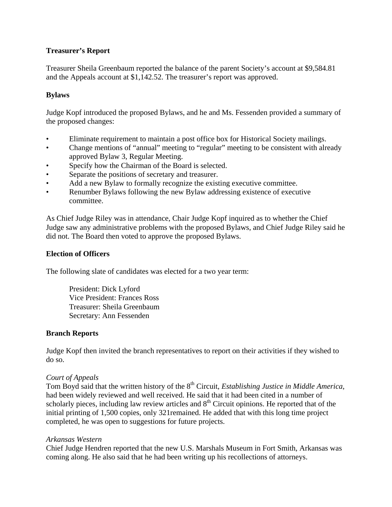# **Treasurer's Report**

Treasurer Sheila Greenbaum reported the balance of the parent Society's account at \$9,584.81 and the Appeals account at \$1,142.52. The treasurer's report was approved.

# **Bylaws**

Judge Kopf introduced the proposed Bylaws, and he and Ms. Fessenden provided a summary of the proposed changes:

- Eliminate requirement to maintain a post office box for Historical Society mailings.
- Change mentions of "annual" meeting to "regular" meeting to be consistent with already approved Bylaw 3, Regular Meeting.
- Specify how the Chairman of the Board is selected.
- Separate the positions of secretary and treasurer.
- Add a new Bylaw to formally recognize the existing executive committee.
- Renumber Bylaws following the new Bylaw addressing existence of executive committee.

As Chief Judge Riley was in attendance, Chair Judge Kopf inquired as to whether the Chief Judge saw any administrative problems with the proposed Bylaws, and Chief Judge Riley said he did not. The Board then voted to approve the proposed Bylaws.

# **Election of Officers**

The following slate of candidates was elected for a two year term:

President: Dick Lyford Vice President: Frances Ross Treasurer: Sheila Greenbaum Secretary: Ann Fessenden

## **Branch Reports**

Judge Kopf then invited the branch representatives to report on their activities if they wished to do so.

## *Court of Appeals*

Tom Boyd said that the written history of the 8<sup>th</sup> Circuit, *Establishing Justice in Middle America*, had been widely reviewed and well received. He said that it had been cited in a number of scholarly pieces, including law review articles and  $8<sup>th</sup>$  Circuit opinions. He reported that of the initial printing of 1,500 copies, only 321remained. He added that with this long time project completed, he was open to suggestions for future projects.

## *Arkansas Western*

Chief Judge Hendren reported that the new U.S. Marshals Museum in Fort Smith, Arkansas was coming along. He also said that he had been writing up his recollections of attorneys.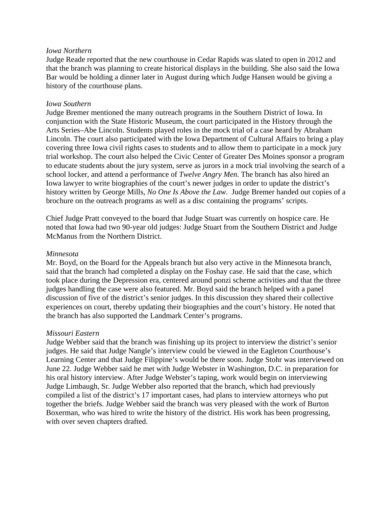### *Iowa Northern*

Judge Reade reported that the new courthouse in Cedar Rapids was slated to open in 2012 and that the branch was planning to create historical displays in the building. She also said the Iowa Bar would be holding a dinner later in August during which Judge Hansen would be giving a history of the courthouse plans.

### *Iowa Southern*

Judge Bremer mentioned the many outreach programs in the Southern District of Iowa. In conjunction with the State Historic Museum, the court participated in the History through the Arts Series–Abe Lincoln. Students played roles in the mock trial of a case heard by Abraham Lincoln. The court also participated with the Iowa Department of Cultural Affairs to bring a play covering three Iowa civil rights cases to students and to allow them to participate in a mock jury trial workshop. The court also helped the Civic Center of Greater Des Moines sponsor a program to educate students about the jury system, serve as jurors in a mock trial involving the search of a school locker, and attend a performance of *Twelve Angry Men*. The branch has also hired an Iowa lawyer to write biographies of the court's newer judges in order to update the district's history written by George Mills, *No One Is Above the Law*. Judge Bremer handed out copies of a brochure on the outreach programs as well as a disc containing the programs' scripts.

Chief Judge Pratt conveyed to the board that Judge Stuart was currently on hospice care. He noted that Iowa had two 90-year old judges: Judge Stuart from the Southern District and Judge McManus from the Northern District.

#### *Minnesota*

Mr. Boyd, on the Board for the Appeals branch but also very active in the Minnesota branch, said that the branch had completed a display on the Foshay case. He said that the case, which took place during the Depression era, centered around ponzi scheme activities and that the three judges handling the case were also featured. Mr. Boyd said the branch helped with a panel discussion of five of the district's senior judges. In this discussion they shared their collective experiences on court, thereby updating their biographies and the court's history. He noted that the branch has also supported the Landmark Center's programs.

#### *Missouri Eastern*

Judge Webber said that the branch was finishing up its project to interview the district's senior judges. He said that Judge Nangle's interview could be viewed in the Eagleton Courthouse's Learning Center and that Judge Filippine's would be there soon. Judge Stohr was interviewed on June 22. Judge Webber said he met with Judge Webster in Washington, D.C. in preparation for his oral history interview. After Judge Webster's taping, work would begin on interviewing Judge Limbaugh, Sr. Judge Webber also reported that the branch, which had previously compiled a list of the district's 17 important cases, had plans to interview attorneys who put together the briefs. Judge Webber said the branch was very pleased with the work of Burton Boxerman, who was hired to write the history of the district. His work has been progressing, with over seven chapters drafted.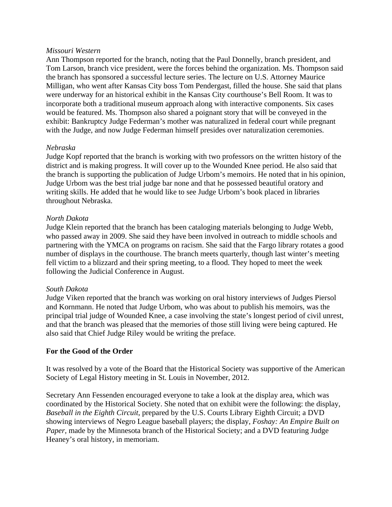### *Missouri Western*

Ann Thompson reported for the branch, noting that the Paul Donnelly, branch president, and Tom Larson, branch vice president, were the forces behind the organization. Ms. Thompson said the branch has sponsored a successful lecture series. The lecture on U.S. Attorney Maurice Milligan, who went after Kansas City boss Tom Pendergast, filled the house. She said that plans were underway for an historical exhibit in the Kansas City courthouse's Bell Room. It was to incorporate both a traditional museum approach along with interactive components. Six cases would be featured. Ms. Thompson also shared a poignant story that will be conveyed in the exhibit: Bankruptcy Judge Federman's mother was naturalized in federal court while pregnant with the Judge, and now Judge Federman himself presides over naturalization ceremonies.

## *Nebraska*

Judge Kopf reported that the branch is working with two professors on the written history of the district and is making progress. It will cover up to the Wounded Knee period. He also said that the branch is supporting the publication of Judge Urbom's memoirs. He noted that in his opinion, Judge Urbom was the best trial judge bar none and that he possessed beautiful oratory and writing skills. He added that he would like to see Judge Urbom's book placed in libraries throughout Nebraska.

## *North Dakota*

Judge Klein reported that the branch has been cataloging materials belonging to Judge Webb, who passed away in 2009. She said they have been involved in outreach to middle schools and partnering with the YMCA on programs on racism. She said that the Fargo library rotates a good number of displays in the courthouse. The branch meets quarterly, though last winter's meeting fell victim to a blizzard and their spring meeting, to a flood. They hoped to meet the week following the Judicial Conference in August.

## *South Dakota*

Judge Viken reported that the branch was working on oral history interviews of Judges Piersol and Kornmann. He noted that Judge Urbom, who was about to publish his memoirs, was the principal trial judge of Wounded Knee, a case involving the state's longest period of civil unrest, and that the branch was pleased that the memories of those still living were being captured. He also said that Chief Judge Riley would be writing the preface.

# **For the Good of the Order**

It was resolved by a vote of the Board that the Historical Society was supportive of the American Society of Legal History meeting in St. Louis in November, 2012.

Secretary Ann Fessenden encouraged everyone to take a look at the display area, which was coordinated by the Historical Society. She noted that on exhibit were the following: the display, *Baseball in the Eighth Circuit*, prepared by the U.S. Courts Library Eighth Circuit; a DVD showing interviews of Negro League baseball players; the display, *Foshay: An Empire Built on Paper,* made by the Minnesota branch of the Historical Society; and a DVD featuring Judge Heaney's oral history, in memoriam.